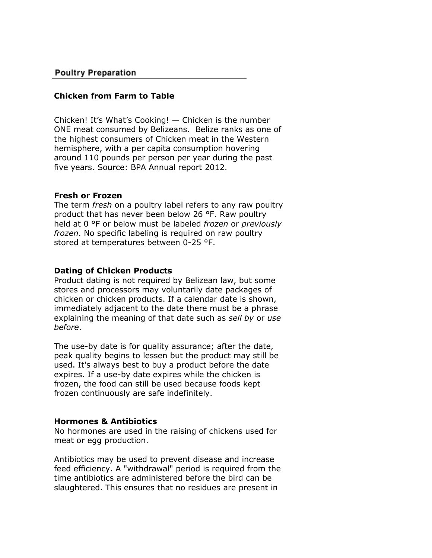# **Poultry Preparation**

## **Chicken from Farm to Table**

Chicken! It's What's Cooking! — Chicken is the number ONE meat consumed by Belizeans. Belize ranks as one of the highest consumers of Chicken meat in the Western hemisphere, with a per capita consumption hovering around 110 pounds per person per year during the past five years. Source: BPA Annual report 2012.

### **Fresh or Frozen**

The term *fresh* on a poultry label refers to any raw poultry product that has never been below 26 °F. Raw poultry held at 0 °F or below must be labeled *frozen* or *previously frozen*. No specific labeling is required on raw poultry stored at temperatures between 0-25 °F.

### **Dating of Chicken Products**

Product dating is not required by Belizean law, but some stores and processors may voluntarily date packages of chicken or chicken products. If a calendar date is shown, immediately adjacent to the date there must be a phrase explaining the meaning of that date such as *sell by* or *use before*.

The use-by date is for quality assurance; after the date, peak quality begins to lessen but the product may still be used. It's always best to buy a product before the date expires. If a use-by date expires while the chicken is frozen, the food can still be used because foods kept frozen continuously are safe indefinitely.

#### **Hormones & Antibiotics**

No hormones are used in the raising of chickens used for meat or egg production.

Antibiotics may be used to prevent disease and increase feed efficiency. A "withdrawal" period is required from the time antibiotics are administered before the bird can be slaughtered. This ensures that no residues are present in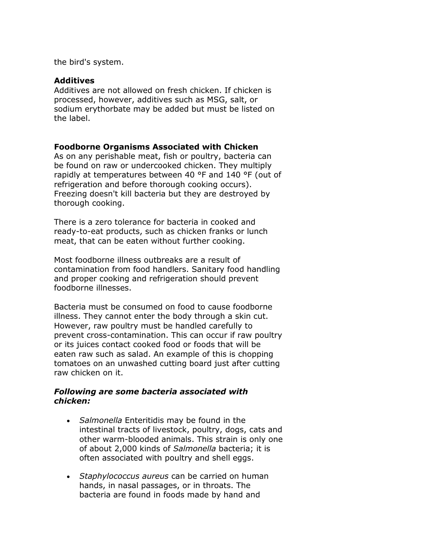the bird's system.

## **Additives**

Additives are not allowed on fresh chicken. If chicken is processed, however, additives such as MSG, salt, or sodium erythorbate may be added but must be listed on the label.

## **Foodborne Organisms Associated with Chicken**

As on any perishable meat, fish or poultry, bacteria can be found on raw or undercooked chicken. They multiply rapidly at temperatures between 40 °F and 140 °F (out of refrigeration and before thorough cooking occurs). Freezing doesn't kill bacteria but they are destroyed by thorough cooking.

There is a zero tolerance for bacteria in cooked and ready-to-eat products, such as chicken franks or lunch meat, that can be eaten without further cooking.

Most foodborne illness outbreaks are a result of contamination from food handlers. Sanitary food handling and proper cooking and refrigeration should prevent foodborne illnesses.

Bacteria must be consumed on food to cause foodborne illness. They cannot enter the body through a skin cut. However, raw poultry must be handled carefully to prevent cross-contamination. This can occur if raw poultry or its juices contact cooked food or foods that will be eaten raw such as salad. An example of this is chopping tomatoes on an unwashed cutting board just after cutting raw chicken on it.

## *Following are some bacteria associated with chicken:*

- *Salmonella* Enteritidis may be found in the intestinal tracts of livestock, poultry, dogs, cats and other warm-blooded animals. This strain is only one of about 2,000 kinds of *Salmonella* bacteria; it is often associated with poultry and shell eggs.
- *Staphylococcus aureus* can be carried on human hands, in nasal passages, or in throats. The bacteria are found in foods made by hand and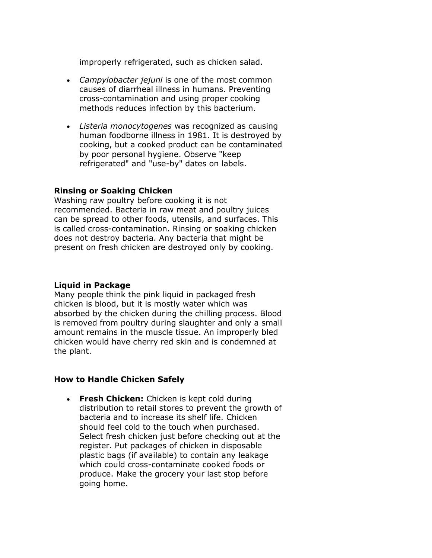improperly refrigerated, such as chicken salad.

- *Campylobacter jejuni* is one of the most common causes of diarrheal illness in humans. Preventing cross-contamination and using proper cooking methods reduces infection by this bacterium.
- *Listeria monocytogenes* was recognized as causing human foodborne illness in 1981. It is destroyed by cooking, but a cooked product can be contaminated by poor personal hygiene. Observe "keep refrigerated" and "use-by" dates on labels.

## **Rinsing or Soaking Chicken**

Washing raw poultry before cooking it is not recommended. Bacteria in raw meat and poultry juices can be spread to other foods, utensils, and surfaces. This is called cross-contamination. Rinsing or soaking chicken does not destroy bacteria. Any bacteria that might be present on fresh chicken are destroyed only by cooking.

## **Liquid in Package**

Many people think the pink liquid in packaged fresh chicken is blood, but it is mostly water which was absorbed by the chicken during the chilling process. Blood is removed from poultry during slaughter and only a small amount remains in the muscle tissue. An improperly bled chicken would have cherry red skin and is condemned at the plant.

# **How to Handle Chicken Safely**

 **Fresh Chicken:** Chicken is kept cold during distribution to retail stores to prevent the growth of bacteria and to increase its shelf life. Chicken should feel cold to the touch when purchased. Select fresh chicken just before checking out at the register. Put packages of chicken in disposable plastic bags (if available) to contain any leakage which could cross-contaminate cooked foods or produce. Make the grocery your last stop before going home.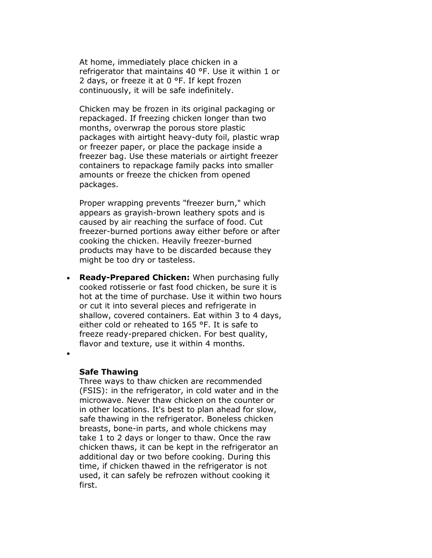At home, immediately place chicken in a refrigerator that maintains 40 °F. Use it within 1 or 2 days, or freeze it at 0 °F. If kept frozen continuously, it will be safe indefinitely.

Chicken may be frozen in its original packaging or repackaged. If freezing chicken longer than two months, overwrap the porous store plastic packages with airtight heavy-duty foil, plastic wrap or freezer paper, or place the package inside a freezer bag. Use these materials or airtight freezer containers to repackage family packs into smaller amounts or freeze the chicken from opened packages.

Proper wrapping prevents "freezer burn," which appears as grayish-brown leathery spots and is caused by air reaching the surface of food. Cut freezer-burned portions away either before or after cooking the chicken. Heavily freezer-burned products may have to be discarded because they might be too dry or tasteless.

 **Ready-Prepared Chicken:** When purchasing fully cooked rotisserie or fast food chicken, be sure it is hot at the time of purchase. Use it within two hours or cut it into several pieces and refrigerate in shallow, covered containers. Eat within 3 to 4 days, either cold or reheated to 165 °F. It is safe to freeze ready-prepared chicken. For best quality, flavor and texture, use it within 4 months.

#### **Safe Thawing**

 $\bullet$ 

Three ways to thaw chicken are recommended (FSIS): in the refrigerator, in cold water and in the microwave. Never thaw chicken on the counter or in other locations. It's best to plan ahead for slow, safe thawing in the refrigerator. Boneless chicken breasts, bone-in parts, and whole chickens may take 1 to 2 days or longer to thaw. Once the raw chicken thaws, it can be kept in the refrigerator an additional day or two before cooking. During this time, if chicken thawed in the refrigerator is not used, it can safely be refrozen without cooking it first.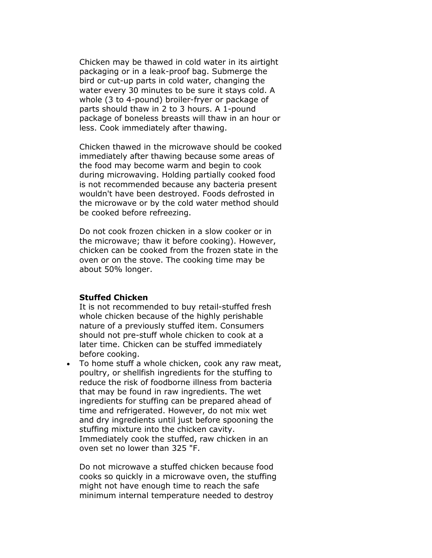Chicken may be thawed in cold water in its airtight packaging or in a leak-proof bag. Submerge the bird or cut-up parts in cold water, changing the water every 30 minutes to be sure it stays cold. A whole (3 to 4-pound) broiler-fryer or package of parts should thaw in 2 to 3 hours. A 1-pound package of boneless breasts will thaw in an hour or less. Cook immediately after thawing.

Chicken thawed in the microwave should be cooked immediately after thawing because some areas of the food may become warm and begin to cook during microwaving. Holding partially cooked food is not recommended because any bacteria present wouldn't have been destroyed. Foods defrosted in the microwave or by the cold water method should be cooked before refreezing.

Do not cook frozen chicken in a slow cooker or in the microwave; thaw it before cooking). However, chicken can be cooked from the frozen state in the oven or on the stove. The cooking time may be about 50% longer.

#### **Stuffed Chicken**

It is not recommended to buy retail-stuffed fresh whole chicken because of the highly perishable nature of a previously stuffed item. Consumers should not pre-stuff whole chicken to cook at a later time. Chicken can be stuffed immediately before cooking.

 To home stuff a whole chicken, cook any raw meat, poultry, or shellfish ingredients for the stuffing to reduce the risk of foodborne illness from bacteria that may be found in raw ingredients. The wet ingredients for stuffing can be prepared ahead of time and refrigerated. However, do not mix wet and dry ingredients until just before spooning the stuffing mixture into the chicken cavity. Immediately cook the stuffed, raw chicken in an oven set no lower than 325 "F.

Do not microwave a stuffed chicken because food cooks so quickly in a microwave oven, the stuffing might not have enough time to reach the safe minimum internal temperature needed to destroy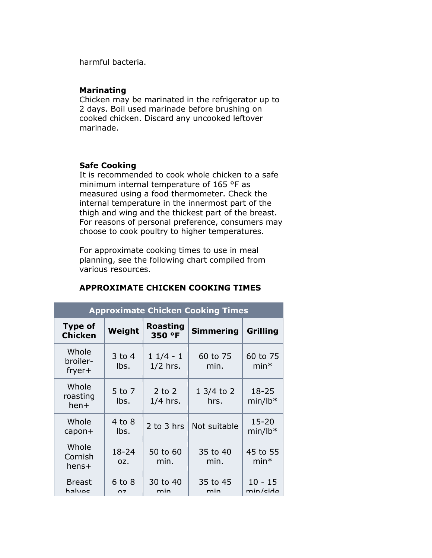harmful bacteria.

## **Marinating**

Chicken may be marinated in the refrigerator up to 2 days. Boil used marinade before brushing on cooked chicken. Discard any uncooked leftover marinade.

## **Safe Cooking**

It is recommended to cook whole chicken to a safe minimum internal temperature of 165 °F as measured using a food thermometer. Check the internal temperature in the innermost part of the thigh and wing and the thickest part of the breast. For reasons of personal preference, consumers may choose to cook poultry to higher temperatures.

For approximate cooking times to use in meal planning, see the following chart compiled from various resources.

| <b>Approximate Chicken Cooking Times</b> |                    |                          |                              |                        |
|------------------------------------------|--------------------|--------------------------|------------------------------|------------------------|
| Type of<br><b>Chicken</b>                | Weight             | Roasting<br>350 °F       | <b>Simmering</b>             | <b>Grilling</b>        |
| Whole<br>broiler-<br>fryer+              | $3$ to 4<br>lbs.   | $11/4 - 1$<br>$1/2$ hrs. | 60 to 75<br>min.             | 60 to 75<br>$min*$     |
| Whole<br>roasting<br>$hen+$              | 5 to 7<br>lbs.     | 2 to $2$<br>$1/4$ hrs.   | $1 \frac{3}{4}$ to 2<br>hrs. | $18 - 25$<br>$min/lb*$ |
| Whole<br>$capon+$                        | $4$ to $8$<br>lbs. | $2$ to $3$ hrs           | Not suitable                 | $15 - 20$<br>$min/lb*$ |
| Whole<br>Cornish<br>hens+                | 18-24<br>OZ.       | 50 to 60<br>min.         | 35 to 40<br>min.             | 45 to 55<br>$min*$     |
| <b>Breast</b><br>halves                  | 6 to 8<br>$\sim$   | 30 to 40<br>min          | 35 to 45<br>min              | $10 - 15$<br>min/cide  |

# **APPROXIMATE CHICKEN COOKING TIMES**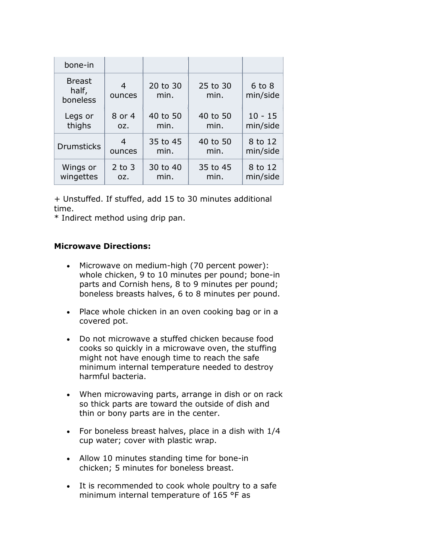| bone-in                            |             |                  |                  |                        |
|------------------------------------|-------------|------------------|------------------|------------------------|
| <b>Breast</b><br>half,<br>boneless | 4<br>ounces | 20 to 30<br>min. | 25 to 30<br>min. | $6$ to $8$<br>min/side |
| Legs or                            | 8 or 4      | 40 to 50         | 40 to 50         | $10 - 15$              |
| thighs                             | OZ.         | min.             | min.             | min/side               |
| <b>Drumsticks</b>                  | 4           | 35 to 45         | 40 to 50         | 8 to 12                |
|                                    | ounces      | min.             | min.             | min/side               |
| Wings or                           | $2$ to $3$  | 30 to 40         | 35 to 45         | 8 to 12                |
| wingettes                          | OZ.         | min.             | min.             | min/side               |

+ Unstuffed. If stuffed, add 15 to 30 minutes additional time.

\* Indirect method using drip pan.

## **Microwave Directions:**

- Microwave on medium-high (70 percent power): whole chicken, 9 to 10 minutes per pound; bone-in parts and Cornish hens, 8 to 9 minutes per pound; boneless breasts halves, 6 to 8 minutes per pound.
- Place whole chicken in an oven cooking bag or in a covered pot.
- Do not microwave a stuffed chicken because food cooks so quickly in a microwave oven, the stuffing might not have enough time to reach the safe minimum internal temperature needed to destroy harmful bacteria.
- When microwaving parts, arrange in dish or on rack so thick parts are toward the outside of dish and thin or bony parts are in the center.
- For boneless breast halves, place in a dish with 1/4 cup water; cover with plastic wrap.
- Allow 10 minutes standing time for bone-in chicken; 5 minutes for boneless breast.
- It is recommended to cook whole poultry to a safe minimum internal temperature of 165 °F as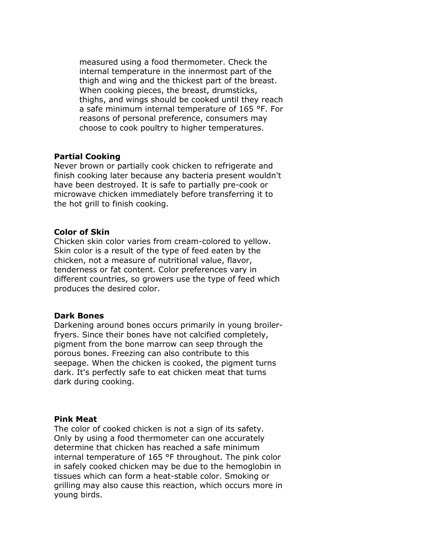measured using a food thermometer. Check the internal temperature in the innermost part of the thigh and wing and the thickest part of the breast. When cooking pieces, the breast, drumsticks, thighs, and wings should be cooked until they reach a safe minimum internal temperature of 165 °F. For reasons of personal preference, consumers may choose to cook poultry to higher temperatures.

## **Partial Cooking**

Never brown or partially cook chicken to refrigerate and finish cooking later because any bacteria present wouldn't have been destroyed. It is safe to partially pre-cook or microwave chicken immediately before transferring it to the hot grill to finish cooking.

### **Color of Skin**

Chicken skin color varies from cream-colored to yellow. Skin color is a result of the type of feed eaten by the chicken, not a measure of nutritional value, flavor, tenderness or fat content. Color preferences vary in different countries, so growers use the type of feed which produces the desired color.

#### **Dark Bones**

Darkening around bones occurs primarily in young broilerfryers. Since their bones have not calcified completely, pigment from the bone marrow can seep through the porous bones. Freezing can also contribute to this seepage. When the chicken is cooked, the pigment turns dark. It's perfectly safe to eat chicken meat that turns dark during cooking.

### **Pink Meat**

The color of cooked chicken is not a sign of its safety. Only by using a food thermometer can one accurately determine that chicken has reached a safe minimum internal temperature of 165 °F throughout. The pink color in safely cooked chicken may be due to the hemoglobin in tissues which can form a heat-stable color. Smoking or grilling may also cause this reaction, which occurs more in young birds.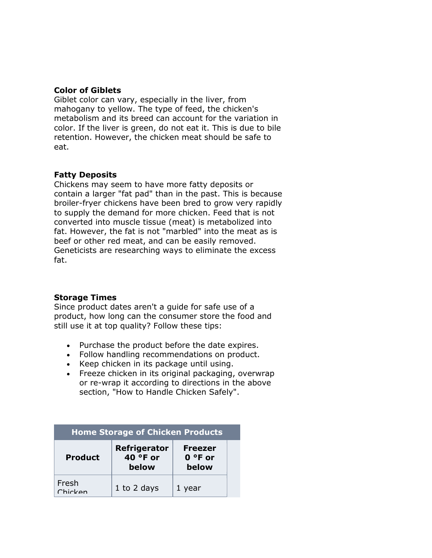# **Color of Giblets**

Giblet color can vary, especially in the liver, from mahogany to yellow. The type of feed, the chicken's metabolism and its breed can account for the variation in color. If the liver is green, do not eat it. This is due to bile retention. However, the chicken meat should be safe to eat.

## **Fatty Deposits**

Chickens may seem to have more fatty deposits or contain a larger "fat pad" than in the past. This is because broiler-fryer chickens have been bred to grow very rapidly to supply the demand for more chicken. Feed that is not converted into muscle tissue (meat) is metabolized into fat. However, the fat is not "marbled" into the meat as is beef or other red meat, and can be easily removed. Geneticists are researching ways to eliminate the excess fat.

# **Storage Times**

Since product dates aren't a guide for safe use of a product, how long can the consumer store the food and still use it at top quality? Follow these tips:

- Purchase the product before the date expires.
- Follow handling recommendations on product.
- Keep chicken in its package until using.
- Freeze chicken in its original packaging, overwrap or re-wrap it according to directions in the above section, "How to Handle Chicken Safely".

| <b>Home Storage of Chicken Products</b> |                                   |                                     |  |
|-----------------------------------------|-----------------------------------|-------------------------------------|--|
| <b>Product</b>                          | Refrigerator<br>40 °F or<br>below | <b>Freezer</b><br>$0°F$ or<br>below |  |
| Fresh<br>Chickan                        | 1 to 2 days                       | 1 year                              |  |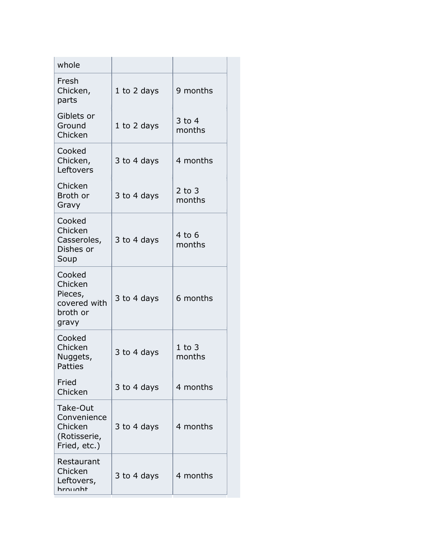| whole                                                              |             |                      |
|--------------------------------------------------------------------|-------------|----------------------|
| Fresh<br>Chicken,<br>parts                                         | 1 to 2 days | 9 months             |
| Giblets or<br>Ground<br>Chicken                                    | 1 to 2 days | 3 to 4<br>months     |
| Cooked<br>Chicken,<br>Leftovers                                    | 3 to 4 days | 4 months             |
| Chicken<br>Broth or<br>Gravy                                       | 3 to 4 days | $2$ to $3$<br>months |
| Cooked<br>Chicken<br>Casseroles,<br>Dishes or<br>Soup              | 3 to 4 days | 4 to 6<br>months     |
| Cooked<br>Chicken<br>Pieces,<br>covered with<br>broth or<br>gravy  | 3 to 4 days | 6 months             |
| Cooked<br>Chicken<br>Nuggets,<br>Patties                           | 3 to 4 days | $1$ to $3$<br>months |
| Fried<br>Chicken                                                   | 3 to 4 days | 4 months             |
| Take-Out<br>Convenience<br>Chicken<br>(Rotisserie,<br>Fried, etc.) | 3 to 4 days | 4 months             |
| Restaurant<br>Chicken<br>Leftovers,<br>hrought                     | 3 to 4 days | 4 months             |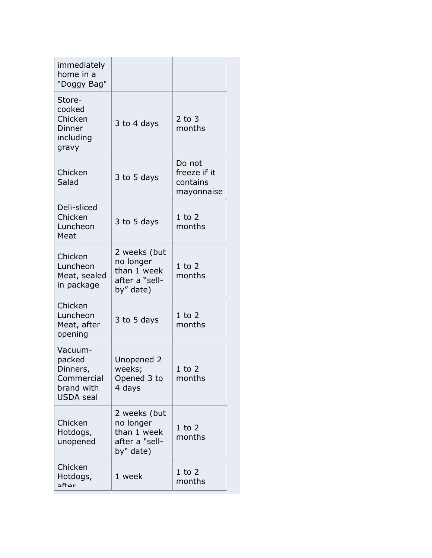| immediately<br>home in a<br>"Doggy Bag"                                       |                                                                         |                                                  |
|-------------------------------------------------------------------------------|-------------------------------------------------------------------------|--------------------------------------------------|
| Store-<br>cooked<br>Chicken<br>Dinner<br>including<br>gravy                   | 3 to 4 days                                                             | $2$ to 3<br>months                               |
| Chicken<br>Salad                                                              | 3 to 5 days                                                             | Do not<br>freeze if it<br>contains<br>mayonnaise |
| Deli-sliced<br>Chicken<br>Luncheon<br>Meat                                    | 3 to 5 days                                                             | $1$ to $2$<br>months                             |
| Chicken<br>Luncheon<br>Meat, sealed<br>in package                             | 2 weeks (but<br>no longer<br>than 1 week<br>after a "sell-<br>by" date) | $1$ to $2$<br>months                             |
| Chicken<br>Luncheon<br>Meat, after<br>opening                                 | 3 to 5 days                                                             | $1$ to $2$<br>months                             |
| Vacuum-<br>packed<br>Dinners,<br>Commercial<br>brand with<br><b>USDA</b> seal | Unopened 2<br>weeks;<br>Opened 3 to<br>4 days                           | 1 to 2<br>months                                 |
| Chicken<br>Hotdogs,<br>unopened                                               | 2 weeks (but<br>no longer<br>than 1 week<br>after a "sell-<br>by" date) | $1$ to $2$<br>months                             |
| Chicken<br>Hotdogs,<br>after                                                  | 1 week                                                                  | $1$ to $2$<br>months                             |